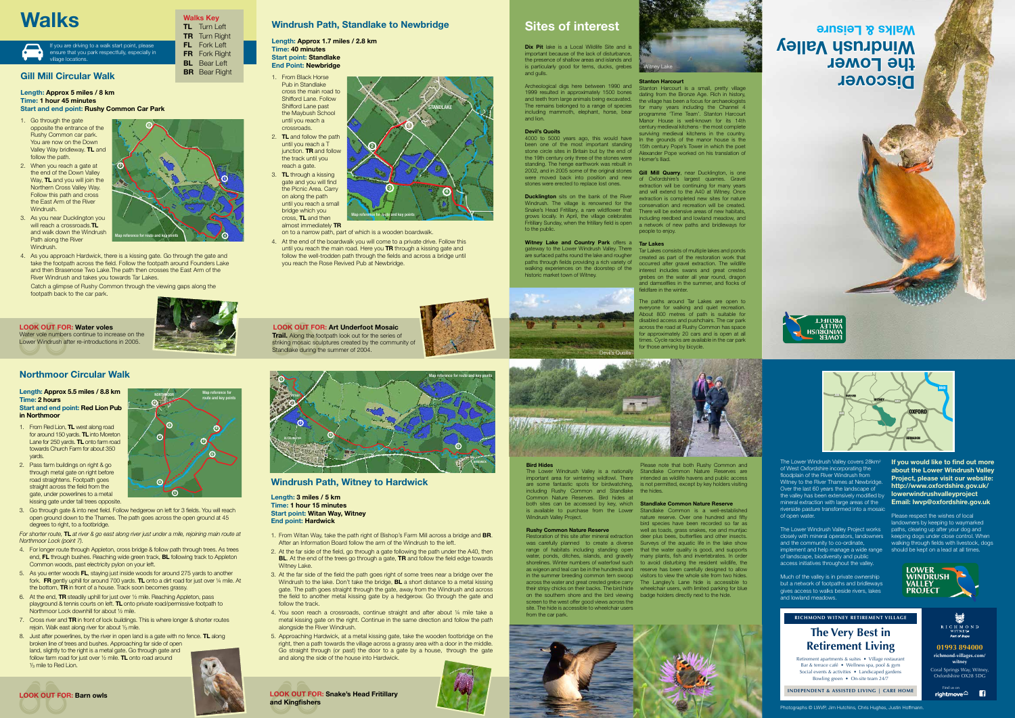# **Windrush Path, Standlake to Newbridge**

**Length: Approx 1.7 miles / 2.8 km Time: 40 minutes Start point: Standlake End Point: Newbridge**

- 1. From Black Horse Pub in Standlake cross the main road to Shifford Lane. Follow Shifford Lane past the Maybush School until you reach a crossroads.
- **TL** and follow the path until you reach a T junction. **TR** and follow the track until you reach a gate. 3. **TL** through a kissing

At the end of the boardwalk you will come to a private drive. Follow this until you reach the main road. Here you **TR** through a kissing gate and follow the well-trodden path through the fields and across a bridge until you reach the Rose Revived Pub at Newbridge.

gate and you will find the Picnic Area. Carry on along the path until you reach a small bridge which you cross, **TL** and then almost immediately **TR**

on to a narrow path, part of which is a wooden boardwalk.





# **Windrush Path, Witney to Hardwick**

## **Length: 3 miles / 5 km Time: 1 hour 15 minutes Start point: Witan Way, Witney End point: Hardwick**

- 1. From Witan Way, take the path right of Bishop's Farm Mill across a bridge and **BR**. After an Information Board follow the arm of the Windrush to the left.
- 2. At the far side of the field, go through a gate following the path under the A40, then **BL**. At the end of the trees go through a gate, **TR** and follow the field edge towards Witney Lake.
- 3. At the far side of the field the path goes right of some trees near a bridge over the Windrush to the lake. Don't take the bridge, **BL** a short distance to a metal kissing gate. The path goes straight through the gate, away from the Windrush and across the field to another metal kissing gate by a hedgerow. Go through the gate and follow the track.
- 4. You soon reach a crossroads, continue straight and after about ¼ mile take a metal kissing gate on the right. Continue in the same direction and follow the path alongside the River Windrush.
- 5. Approaching Hardwick, at a metal kissing gate, take the wooden footbridge on the right, then a path towards the village across a grassy area with a door in the middle. Go straight through (or past) the door to a gate by a house, through the gate and along the side of the house into Hardwick.



- 4. For longer route through Appleton, cross bridge & follow path through trees. As trees end, **FL** through bushes. Reaching wide green track, **BL** following track to Appleton Common woods, past electricity pylon on your left.
- 5. As you enter woods **FL**, staying just inside woods for around 275 yards to another fork. **FR** gently uphill for around 700 yards. **TL** onto a dirt road for just over ¼ mile. At the bottom, **TR** in front of a house. Track soon becomes grassy.
- 6. At the end, **TR** steadily uphill for just over ½ mile. Reaching Appleton, pass playground & tennis courts on left. **TL** onto private road/permissive footpath to Northmoor Lock downhill for about ½ mile.
- 7. Cross river and **TR** in front of lock buildings. This is where longer & shorter routes rejoin. Walk east along river for about  $\frac{1}{3}$  mile.
- 8. Just after powerlines, by the river in open land is a gate with no fence. **TL** along broken line of trees and bushes. Approaching far side of open land, slightly to the right is a metal gate. Go through gate and follow farm road for just over ½ mile. **TL** onto road around 1/<sub>3</sub> mile to Red Lion.

# **Gill Mill Circular Walk**

**Length: Approx 5 miles / 8 km Time: 1 hour 45 minutes Start and end point: Rushy Common Car Park**

> The Lower Windrush Valley covers 28km<sup>2</sup> of West Oxfordshire incorporating the floodplain of the River Windrush from Witney to the River Thames at Newbridge. Over the last 60 years the landscape of the valley has been extensively modified by mineral extraction with large areas of the riverside pasture transformed into a mosaic of open water.

- 1. Go through the gate opposite the entrance of the Rushy Common car park. You are now on the Down Valley Way bridleway. **TL** and follow the path.
- 2. When you reach a gate at the end of the Down Valley Way, **TL** and you will join the Northern Cross Valley Way. Follow this path and cross the East Arm of the River Windrush.
- 3. As you near Ducklington you will reach a crossroads.**TL** and walk down the Windrush Path along the River Windrush.
- 4. As you approach Hardwick, there is a kissing gate. Go through the gate and take the footpath across the field. Follow the footpath around Founders Lake and then Brasenose Two Lake.The path then crosses the East Arm of the River Windrush and takes you towards Tar Lakes.

Much of the valley is in private ownership but a network of footpaths and bridleways gives access to walks beside rivers, lakes and lowland meadows.

Catch a glimpse of Rushy Common through the viewing gaps along the footpath back to the car park.



**Dix Pit** lake is a Local Wildlife Site and is important because of the lack of disturbance, the presence of shallow areas and islands and is particularly good for terns, ducks, grebes

### **Length: Approx 5.5 miles / 8.8 km Time: 2 hours Start and end point: Red Lion Pub in Northmoor**

- 1. From Red Lion, **TL** west along road for around 150 yards. **TL** into Moreton Lane for 250 yards. **TL** onto farm road towards Church Farm for about 350 yards.
- 2. Pass farm buildings on right & go through metal gate on right before road straightens. Footpath goes straight across the field from the gate, under powerlines to a metal kissing gate under tall trees opposite.
- 3. Go through gate & into next field. Follow hedgerow on left for 3 fields. You will reach open ground down to the Thames. The path goes across the open ground at 45 degrees to right, to a footbridge.

**Witney Lake and Country Park offers a Tar Lakes** gateway to the Lower Windrush Valley. There are surfaced paths round the lake and rougher walking experiences on the doorstep of the historic market town of Witney.

*For shorter route,* **TL** *at river & go east along river just under a mile, rejoining main route at Northmoor Lock (point 7).*

were moved back into position and new of Oxfordshire's largest quarries. Gravel **Ducklington** sits on the bank of the River extraction is completed new sites for nature Windrush. The village is renowned for the conservation and recreation will be created. Snake's Head Fritillary, a rare wildflower that There will be extensive areas of new habitats, grows locally. In April, the village celebrates including reedbed and lowland meadow, and Fritillary Sunday, when the fritillary field is open a network of new paths and bridleways for extraction will be continuing for many years and will extend to the A40 at Witney. Once people to enjoy.

paths through fields providing a rich variety of occurred after gravel extraction. The wildlife Tar Lakes consists of multiple lakes and ponds created as part of the restoration work that interest includes swans and great crested grebes on the water all year round, dragon and damselflies in the summer, and flocks of fieldfare in the winter.

**Discover the Lower Windrush Valley Walks & Leisure**



The Lower Windrush Valley Project works paths, clearing up after your dog and closely with mineral operators, landowners keeping dogs under close control. When and the community to co-ordinate, walking through fields with livestock, dogs implement and help manage a wide range should be kept on a lead at all times. of landscape, biodiversity and public access initiatives throughout the valley.

**If you would like to find out more about the Lower Windrush Valley Project, please visit our website: http://www.oxfordshire.gov.uk/ lowerwindrushvalleyproject Email: lwvp@oxfordshire.gov.uk**



Please respect the wishes of local landowners by keeping to waymarked







and gulls.

Archeological digs here between 1990 and Stanton Harcourt is a small, pretty village 1999 resulted in approximately 1500 bones and teeth from large animals being excavated.

and lion.

### **Devil's Quoits**

been one of the most important standing stone circle sites in Britain but by the end of the 19th century only three of the stones were standing. The henge earthwork was rebuilt in 2002, and in 2005 some of the original stones **Gill Mill Quarry**, near Ducklington, is one stones were erected to replace lost ones.

to the public.

The remains belonged to a range of species for many years including the Channel 4 including mammoth, elephant, horse, bear programme 'Time Team'. Stanton Harcourt 4000 to 5000 years ago, this would have In the grounds of the manor house is the dating from the Bronze Age. Rich in history, the village has been a focus for archaeologists Manor House is well-known for its 14th century medieval kitchens - the most complete surviving medieval kitchens in the country. 15th century Pope's Tower in which the poet Alexander Pope worked on his translation of Homer's Iliad.

### **Stanton Harcourt**

The paths around Tar Lakes are open to everyone for walking and quiet recreation. About 800 metres of path is suitable for disabled access and pushchairs. The car park across the road at Rushy Common has space for approximately 20 cars and is open at all times. Cycle racks are available in the car park for those arriving by bicycle.

# **Sites of interest**

# **Bird Hides**

including Rushy Common and Standlake the hides. Common Nature Reserves. Bird hides at both sites can be accessed by key, which **Standlake Common Nature Reserve** Windrush Valley Project.

## **Rushy Common Nature Reserve**

The Lower Windrush Valley is a nationally Standlake Common Nature Reserves are important area for wintering wildfowl. There intended as wildlife havens and public access are some fantastic spots for birdwatching, is not permitted, except by key holders visiting Please note that both Rushy Common and

is available to purchase from the Lower Standlake Common is a well-established Restoration of this site after mineral extraction deer plus bees, butterflies and other insects. was carefully planned to create a diverse Surveys of the aquatic life in the lake show range of habitats including standing open that the water quality is good, and supports water, ponds, ditches, islands, and gravelly many plants, fish and invertebrates. In order shorelines. Winter numbers of waterfowl such to avoid disturbing the resident wildlife, the as wigeon and teal can be in the hundreds and reserve has been carefully designed to allow in the summer breeding common tern swoop visitors to view the whole site from two hides. across the water and great crested grebe carry The Langley's Lane hide is accessible to their stripy chicks on their backs. The bird hide wheelchair users, with limited parking for blue nature reserve. Over one hundred and fifty bird species have been recorded so far as well as toads, grass snakes, roe and muntjac



on the southern shore and the bird viewing badge holders directly next to the hide. screen to the west offer good views across the site. The hide is accessible to wheelchair users from the car park.

# **Walks**

**5**



**2**

map reference for route and key p

**1**

**3**

# **LOOK OUT FOR: Water voles**

Water vole numbers continue to increase on the Lower Windrush after re-introductions in 2005.



**and Kingfishers**

**LOOK OUT FOR: Art Underfoot Mosaic Trail.** Along the footpath look out for the series of



Standlake during the summer of 2004.

**Walks Key TL** Turn Left **TR** Turn Right **FL** Fork Left **FR** Fork Right **BL** Bear Left **BR** Bear Right



Witney Lake

Photographs © LWVP, Jim Hutchins, Chris Hughes, Justin Hoffmann.



**01993 894000 richmond-villages.com/ witney** Coral Springs Way, Witney, Oxfordshire OX28 5DG

Find us on<br>**Fightmove** 

Retirement apartments & suites • Village restaurant Bar & terrace café • Wellness spa, pool & gym Social events & activities • Landscaped gardens Bowling green • On-site team 24/7

**INDEPENDENT & ASSISTED LIVING | CARE HOME**

# **RICHMOND WITNEY RETIREMENT VILLAGE The Very Best in Retirement Living**